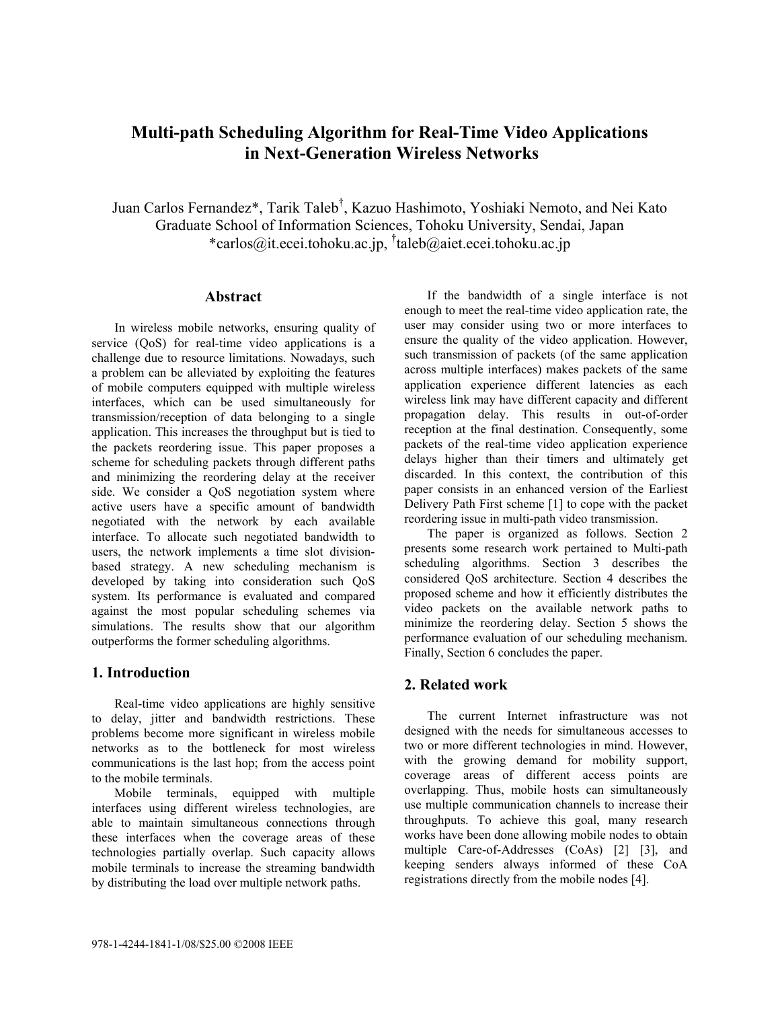# **Multi-path Scheduling Algorithm for Real-Time Video Applications in Next-Generation Wireless Networks**

Juan Carlos Fernandez\*, Tarik Taleb† , Kazuo Hashimoto, Yoshiaki Nemoto, and Nei Kato Graduate School of Information Sciences, Tohoku University, Sendai, Japan \*carlos@it.ecei.tohoku.ac.jp, † taleb@aiet.ecei.tohoku.ac.jp

#### **Abstract**

In wireless mobile networks, ensuring quality of service (QoS) for real-time video applications is a challenge due to resource limitations. Nowadays, such a problem can be alleviated by exploiting the features of mobile computers equipped with multiple wireless interfaces, which can be used simultaneously for transmission/reception of data belonging to a single application. This increases the throughput but is tied to the packets reordering issue. This paper proposes a scheme for scheduling packets through different paths and minimizing the reordering delay at the receiver side. We consider a QoS negotiation system where active users have a specific amount of bandwidth negotiated with the network by each available interface. To allocate such negotiated bandwidth to users, the network implements a time slot divisionbased strategy. A new scheduling mechanism is developed by taking into consideration such QoS system. Its performance is evaluated and compared against the most popular scheduling schemes via simulations. The results show that our algorithm outperforms the former scheduling algorithms.

# **1. Introduction**

Real-time video applications are highly sensitive to delay, jitter and bandwidth restrictions. These problems become more significant in wireless mobile networks as to the bottleneck for most wireless communications is the last hop; from the access point to the mobile terminals.

Mobile terminals, equipped with multiple interfaces using different wireless technologies, are able to maintain simultaneous connections through these interfaces when the coverage areas of these technologies partially overlap. Such capacity allows mobile terminals to increase the streaming bandwidth by distributing the load over multiple network paths.

If the bandwidth of a single interface is not enough to meet the real-time video application rate, the user may consider using two or more interfaces to ensure the quality of the video application. However, such transmission of packets (of the same application across multiple interfaces) makes packets of the same application experience different latencies as each wireless link may have different capacity and different propagation delay. This results in out-of-order reception at the final destination. Consequently, some packets of the real-time video application experience delays higher than their timers and ultimately get discarded. In this context, the contribution of this paper consists in an enhanced version of the Earliest Delivery Path First scheme [1] to cope with the packet reordering issue in multi-path video transmission.

The paper is organized as follows. Section 2 presents some research work pertained to Multi-path scheduling algorithms. Section 3 describes the considered QoS architecture. Section 4 describes the proposed scheme and how it efficiently distributes the video packets on the available network paths to minimize the reordering delay. Section 5 shows the performance evaluation of our scheduling mechanism. Finally, Section 6 concludes the paper.

# **2. Related work**

The current Internet infrastructure was not designed with the needs for simultaneous accesses to two or more different technologies in mind. However, with the growing demand for mobility support, coverage areas of different access points are overlapping. Thus, mobile hosts can simultaneously use multiple communication channels to increase their throughputs. To achieve this goal, many research works have been done allowing mobile nodes to obtain multiple Care-of-Addresses (CoAs) [2] [3], and keeping senders always informed of these CoA registrations directly from the mobile nodes [4].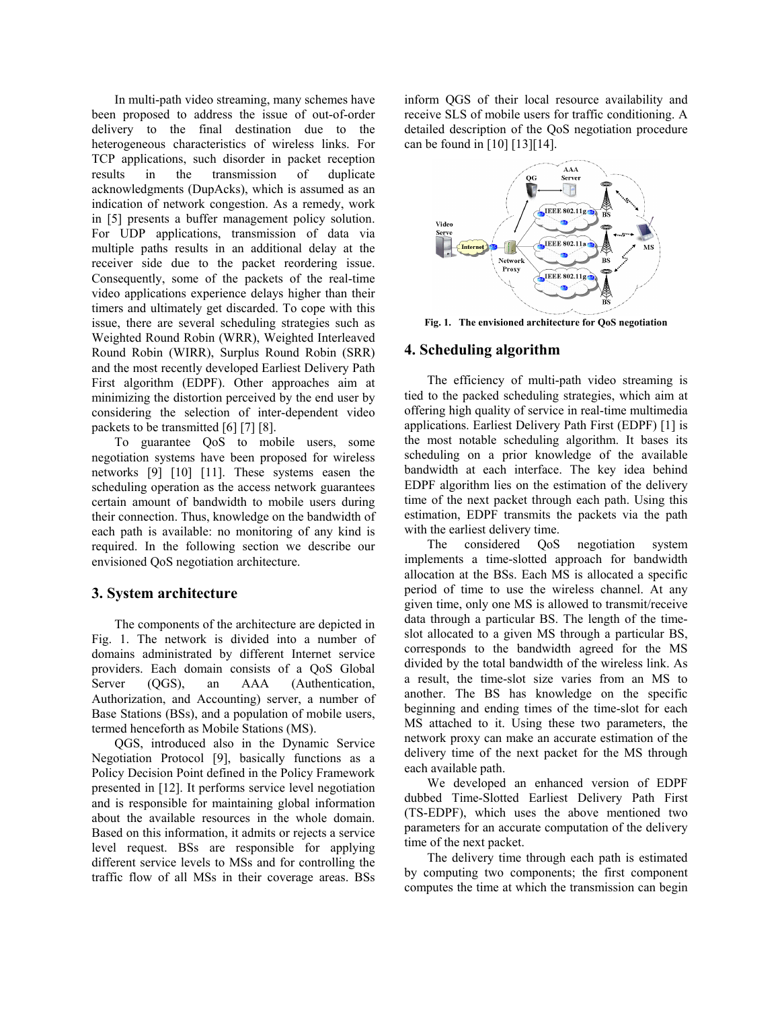In multi-path video streaming, many schemes have been proposed to address the issue of out-of-order delivery to the final destination due to the heterogeneous characteristics of wireless links. For TCP applications, such disorder in packet reception results in the transmission of duplicate acknowledgments (DupAcks), which is assumed as an indication of network congestion. As a remedy, work in [5] presents a buffer management policy solution. For UDP applications, transmission of data via multiple paths results in an additional delay at the receiver side due to the packet reordering issue. Consequently, some of the packets of the real-time video applications experience delays higher than their timers and ultimately get discarded. To cope with this issue, there are several scheduling strategies such as Weighted Round Robin (WRR), Weighted Interleaved Round Robin (WIRR), Surplus Round Robin (SRR) and the most recently developed Earliest Delivery Path First algorithm (EDPF). Other approaches aim at minimizing the distortion perceived by the end user by considering the selection of inter-dependent video packets to be transmitted [6] [7] [8].

To guarantee QoS to mobile users, some negotiation systems have been proposed for wireless networks [9] [10] [11]. These systems easen the scheduling operation as the access network guarantees certain amount of bandwidth to mobile users during their connection. Thus, knowledge on the bandwidth of each path is available: no monitoring of any kind is required. In the following section we describe our envisioned QoS negotiation architecture.

## **3. System architecture**

The components of the architecture are depicted in Fig. 1. The network is divided into a number of domains administrated by different Internet service providers. Each domain consists of a QoS Global Server (QGS), an AAA (Authentication, Authorization, and Accounting) server, a number of Base Stations (BSs), and a population of mobile users, termed henceforth as Mobile Stations (MS).

QGS, introduced also in the Dynamic Service Negotiation Protocol [9], basically functions as a Policy Decision Point defined in the Policy Framework presented in [12]. It performs service level negotiation and is responsible for maintaining global information about the available resources in the whole domain. Based on this information, it admits or rejects a service level request. BSs are responsible for applying different service levels to MSs and for controlling the traffic flow of all MSs in their coverage areas. BSs inform QGS of their local resource availability and receive SLS of mobile users for traffic conditioning. A detailed description of the QoS negotiation procedure can be found in [10] [13][14].



**Fig. 1. The envisioned architecture for QoS negotiation** 

# **4. Scheduling algorithm**

The efficiency of multi-path video streaming is tied to the packed scheduling strategies, which aim at offering high quality of service in real-time multimedia applications. Earliest Delivery Path First (EDPF) [1] is the most notable scheduling algorithm. It bases its scheduling on a prior knowledge of the available bandwidth at each interface. The key idea behind EDPF algorithm lies on the estimation of the delivery time of the next packet through each path. Using this estimation, EDPF transmits the packets via the path with the earliest delivery time.

The considered QoS negotiation system implements a time-slotted approach for bandwidth allocation at the BSs. Each MS is allocated a specific period of time to use the wireless channel. At any given time, only one MS is allowed to transmit/receive data through a particular BS. The length of the timeslot allocated to a given MS through a particular BS, corresponds to the bandwidth agreed for the MS divided by the total bandwidth of the wireless link. As a result, the time-slot size varies from an MS to another. The BS has knowledge on the specific beginning and ending times of the time-slot for each MS attached to it. Using these two parameters, the network proxy can make an accurate estimation of the delivery time of the next packet for the MS through each available path.

We developed an enhanced version of EDPF dubbed Time-Slotted Earliest Delivery Path First (TS-EDPF), which uses the above mentioned two parameters for an accurate computation of the delivery time of the next packet.

The delivery time through each path is estimated by computing two components; the first component computes the time at which the transmission can begin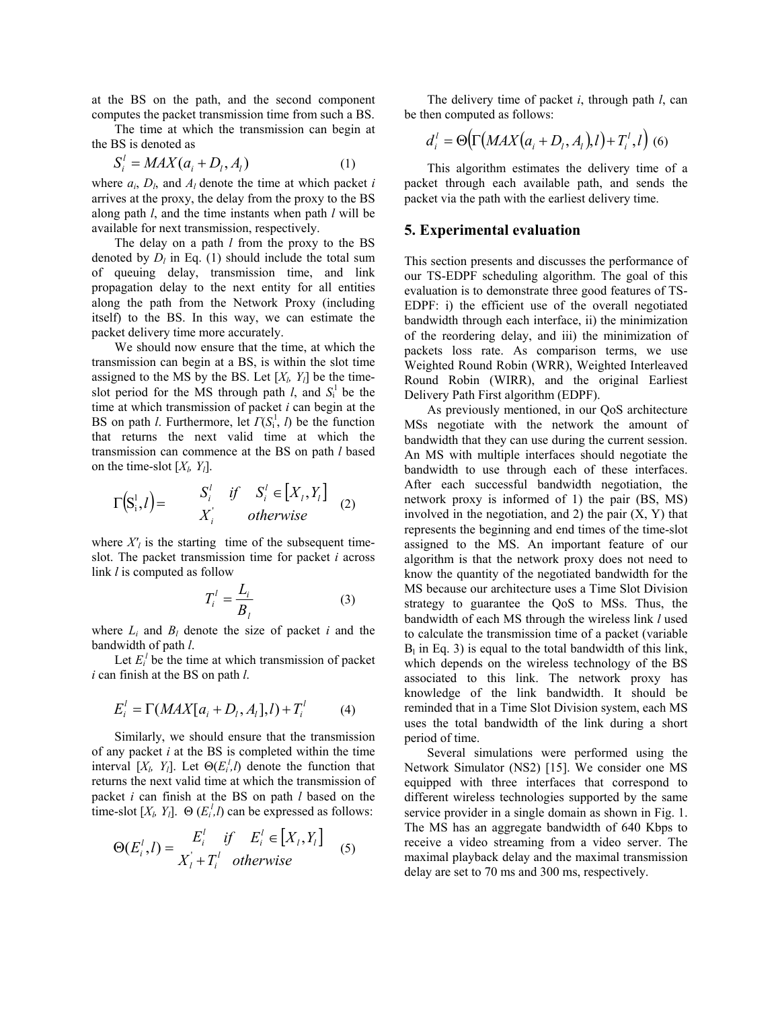at the BS on the path, and the second component computes the packet transmission time from such a BS.

The time at which the transmission can begin at the BS is denoted as

$$
S_i^l = MAX(a_i + D_l, A_l)
$$
 (1)

where  $a_i$ ,  $D_i$ , and  $A_i$  denote the time at which packet *i* arrives at the proxy, the delay from the proxy to the BS along path *l*, and the time instants when path *l* will be available for next transmission, respectively.

The delay on a path *l* from the proxy to the BS denoted by  $D_l$  in Eq. (1) should include the total sum of queuing delay, transmission time, and link propagation delay to the next entity for all entities along the path from the Network Proxy (including itself) to the BS. In this way, we can estimate the packet delivery time more accurately.

We should now ensure that the time, at which the transmission can begin at a BS, is within the slot time assigned to the MS by the BS. Let  $[X_b Y_l]$  be the timeslot period for the MS through path *l*, and  $S_i^1$  be the time at which transmission of packet *i* can begin at the BS on path *l*. Furthermore, let  $\Gamma(S_i^1, l)$  be the function that returns the next valid time at which the transmission can commence at the BS on path *l* based on the time-slot  $[X_i, Y_i]$ .

$$
\Gamma(S_i^1, l) = \begin{cases} S_i^l & \text{if } S_i^l \in [X_i, Y_i] \\ X_i^r & \text{otherwise} \end{cases} \tag{2}
$$

where  $X'_l$  is the starting time of the subsequent timeslot. The packet transmission time for packet *i* across link *l* is computed as follow

$$
T_i^l = \frac{L_i}{B_l} \tag{3}
$$

where  $L_i$  and  $B_i$  denote the size of packet *i* and the bandwidth of path *l*.

Let  $E_i^{\dagger}$  be the time at which transmission of packet *i* can finish at the BS on path *l*.

$$
E_i^l = \Gamma(MAX[a_i + D_l, A_l], l) + T_i^l \tag{4}
$$

Similarly, we should ensure that the transmission of any packet *i* at the BS is completed within the time interval  $[X_i, Y_i]$ . Let  $\Theta(E_i^l, l)$  denote the function that returns the next valid time at which the transmission of packet *i* can finish at the BS on path *l* based on the time-slot  $[X_i, Y_i]$ .  $\Theta(E_i^l, l)$  can be expressed as follows:

$$
\Theta(E_i^l, l) = \frac{E_i^l}{X_l^i + T_i^l} \quad \text{otherwise} \tag{5}
$$

The delivery time of packet *i*, through path *l*, can be then computed as follows:

$$
d_i^l = \Theta\big(\Gamma\big(MAX\big(a_i + D_l, A_l\big),l\big) + T_i^l, l\big) \tag{6}
$$

This algorithm estimates the delivery time of a packet through each available path, and sends the packet via the path with the earliest delivery time.

#### **5. Experimental evaluation**

This section presents and discusses the performance of our TS-EDPF scheduling algorithm. The goal of this evaluation is to demonstrate three good features of TS-EDPF: i) the efficient use of the overall negotiated bandwidth through each interface, ii) the minimization of the reordering delay, and iii) the minimization of packets loss rate. As comparison terms, we use Weighted Round Robin (WRR), Weighted Interleaved Round Robin (WIRR), and the original Earliest Delivery Path First algorithm (EDPF).

As previously mentioned, in our QoS architecture MSs negotiate with the network the amount of bandwidth that they can use during the current session. An MS with multiple interfaces should negotiate the bandwidth to use through each of these interfaces. After each successful bandwidth negotiation, the network proxy is informed of 1) the pair (BS, MS) involved in the negotiation, and 2) the pair  $(X, Y)$  that represents the beginning and end times of the time-slot assigned to the MS. An important feature of our algorithm is that the network proxy does not need to know the quantity of the negotiated bandwidth for the MS because our architecture uses a Time Slot Division strategy to guarantee the QoS to MSs. Thus, the bandwidth of each MS through the wireless link *l* used to calculate the transmission time of a packet (variable  $B_1$  in Eq. 3) is equal to the total bandwidth of this link, which depends on the wireless technology of the BS associated to this link. The network proxy has knowledge of the link bandwidth. It should be reminded that in a Time Slot Division system, each MS uses the total bandwidth of the link during a short period of time.

Several simulations were performed using the Network Simulator (NS2) [15]. We consider one MS equipped with three interfaces that correspond to different wireless technologies supported by the same service provider in a single domain as shown in Fig. 1. The MS has an aggregate bandwidth of 640 Kbps to receive a video streaming from a video server. The maximal playback delay and the maximal transmission delay are set to 70 ms and 300 ms, respectively.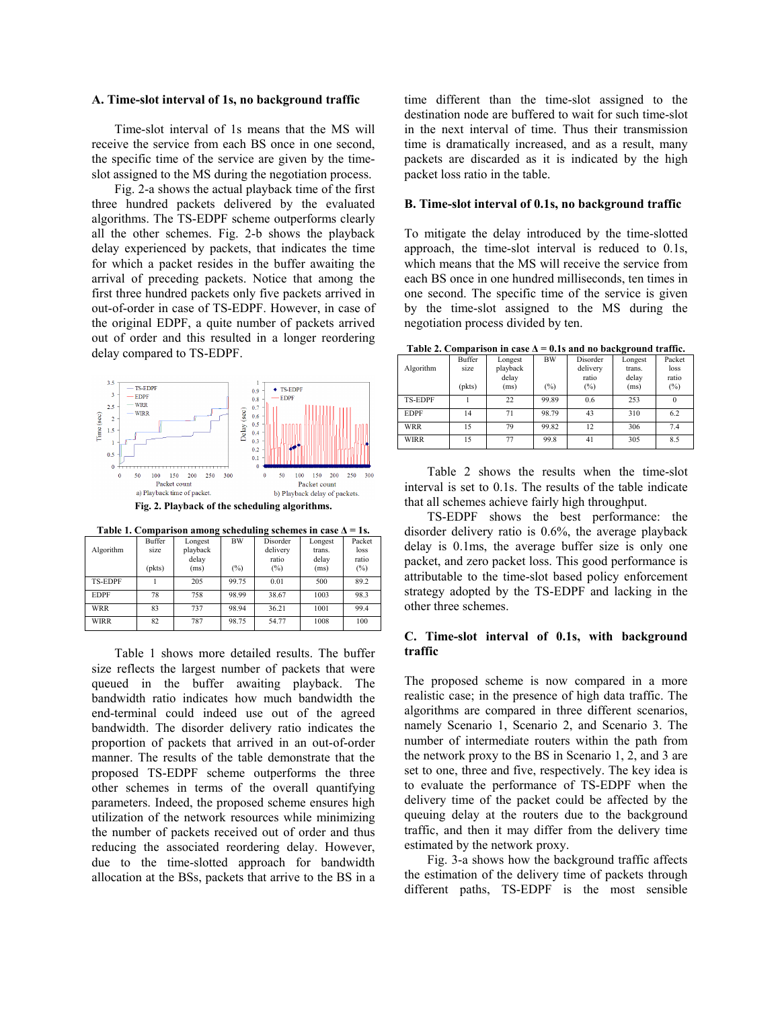#### **A. Time-slot interval of 1s, no background traffic**

Time-slot interval of 1s means that the MS will receive the service from each BS once in one second, the specific time of the service are given by the timeslot assigned to the MS during the negotiation process.

Fig. 2-a shows the actual playback time of the first three hundred packets delivered by the evaluated algorithms. The TS-EDPF scheme outperforms clearly all the other schemes. Fig. 2-b shows the playback delay experienced by packets, that indicates the time for which a packet resides in the buffer awaiting the arrival of preceding packets. Notice that among the first three hundred packets only five packets arrived in out-of-order in case of TS-EDPF. However, in case of the original EDPF, a quite number of packets arrived out of order and this resulted in a longer reordering delay compared to TS-EDPF.



Table 1. Comparison among scheduling schemes in case  $\Delta = 1$ s.

| Algorithm      | <b>Buffer</b><br>size | Longest<br>playback<br>delay | <b>BW</b> | Disorder<br>delivery<br>ratio | Longest<br>trans.<br>delay | Packet<br>loss<br>ratio |
|----------------|-----------------------|------------------------------|-----------|-------------------------------|----------------------------|-------------------------|
|                | $(\text{pkts})$       | (ms)                         | (%)       | (%)                           | (ms)                       | (%)                     |
| <b>TS-EDPF</b> |                       | 205                          | 99.75     | 0.01                          | 500                        | 89.2                    |
| <b>EDPF</b>    | 78                    | 758                          | 98.99     | 38.67                         | 1003                       | 98.3                    |
| <b>WRR</b>     | 83                    | 737                          | 98.94     | 36.21                         | 1001                       | 994                     |
| <b>WIRR</b>    | 82                    | 787                          | 98.75     | 54.77                         | 1008                       | 100                     |

Table 1 shows more detailed results. The buffer size reflects the largest number of packets that were queued in the buffer awaiting playback. The bandwidth ratio indicates how much bandwidth the end-terminal could indeed use out of the agreed bandwidth. The disorder delivery ratio indicates the proportion of packets that arrived in an out-of-order manner. The results of the table demonstrate that the proposed TS-EDPF scheme outperforms the three other schemes in terms of the overall quantifying parameters. Indeed, the proposed scheme ensures high utilization of the network resources while minimizing the number of packets received out of order and thus reducing the associated reordering delay. However, due to the time-slotted approach for bandwidth allocation at the BSs, packets that arrive to the BS in a

time different than the time-slot assigned to the destination node are buffered to wait for such time-slot in the next interval of time. Thus their transmission time is dramatically increased, and as a result, many packets are discarded as it is indicated by the high packet loss ratio in the table.

#### **B. Time-slot interval of 0.1s, no background traffic**

To mitigate the delay introduced by the time-slotted approach, the time-slot interval is reduced to 0.1s, which means that the MS will receive the service from each BS once in one hundred milliseconds, ten times in one second. The specific time of the service is given by the time-slot assigned to the MS during the negotiation process divided by ten.

**Table 2. Comparison in case ∆ = 0.1s and no background traffic.** 

| $1$ apic $\mu$ . Comparison in case $\Delta$<br>0.15 and no background traint. |                          |                                      |                  |                                      |                                    |                                   |  |  |  |
|--------------------------------------------------------------------------------|--------------------------|--------------------------------------|------------------|--------------------------------------|------------------------------------|-----------------------------------|--|--|--|
| Algorithm                                                                      | Buffer<br>size<br>(pkts) | Longest<br>playback<br>delay<br>(ms) | <b>BW</b><br>(%) | Disorder<br>delivery<br>ratio<br>(%) | Longest<br>trans.<br>delay<br>(ms) | Packet<br>loss<br>ratio<br>$(\%)$ |  |  |  |
| <b>TS-EDPF</b>                                                                 |                          | 22                                   | 99.89            | 0.6                                  | 253                                | $\Omega$                          |  |  |  |
| <b>EDPF</b>                                                                    | 14                       | 71                                   | 98.79            | 43                                   | 310                                | 6.2                               |  |  |  |
| WRR                                                                            | 15                       | 79                                   | 99.82            | 12                                   | 306                                | 7.4                               |  |  |  |
| WIRR                                                                           | 15                       | 77                                   | 99.8             | 41                                   | 305                                | 8.5                               |  |  |  |

Table 2 shows the results when the time-slot interval is set to 0.1s. The results of the table indicate that all schemes achieve fairly high throughput.

TS-EDPF shows the best performance: the disorder delivery ratio is 0.6%, the average playback delay is 0.1ms, the average buffer size is only one packet, and zero packet loss. This good performance is attributable to the time-slot based policy enforcement strategy adopted by the TS-EDPF and lacking in the other three schemes.

#### **C. Time-slot interval of 0.1s, with background traffic**

The proposed scheme is now compared in a more realistic case; in the presence of high data traffic. The algorithms are compared in three different scenarios, namely Scenario 1, Scenario 2, and Scenario 3. The number of intermediate routers within the path from the network proxy to the BS in Scenario 1, 2, and 3 are set to one, three and five, respectively. The key idea is to evaluate the performance of TS-EDPF when the delivery time of the packet could be affected by the queuing delay at the routers due to the background traffic, and then it may differ from the delivery time estimated by the network proxy.

Fig. 3-a shows how the background traffic affects the estimation of the delivery time of packets through different paths, TS-EDPF is the most sensible